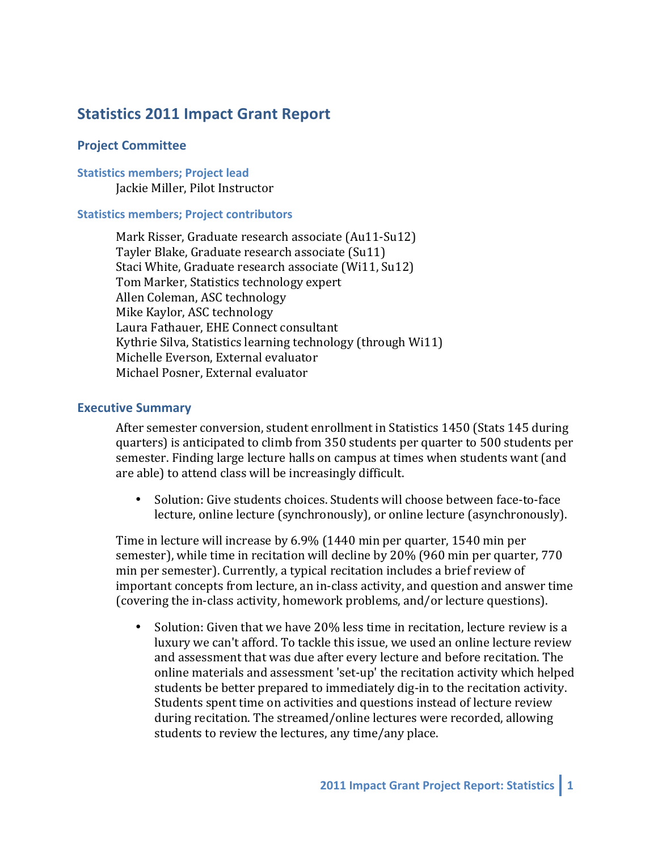# **Statistics 2011 Impact Grant Report**

### **Project Committee**

#### **Statistics members; Project lead** Jackie Miller, Pilot Instructor

#### **Statistics members; Project contributors**

Mark Risser, Graduate research associate (Au11-Su12) Tayler Blake, Graduate research associate (Su11) Staci White, Graduate research associate (Wi11, Su12) Tom Marker, Statistics technology expert Allen Coleman, ASC technology Mike Kaylor, ASC technology Laura Fathauer, EHE Connect consultant Kythrie Silva, Statistics learning technology (through Wi11) Michelle Everson, External evaluator Michael Posner, External evaluator

#### **Executive Summary**

After semester conversion, student enrollment in Statistics 1450 (Stats 145 during quarters) is anticipated to climb from 350 students per quarter to 500 students per semester. Finding large lecture halls on campus at times when students want (and are able) to attend class will be increasingly difficult.

• Solution: Give students choices. Students will choose between face-to-face lecture, online lecture (synchronously), or online lecture (asynchronously).

Time in lecture will increase by  $6.9\%$  (1440 min per quarter, 1540 min per semester), while time in recitation will decline by 20% (960 min per quarter, 770 min per semester). Currently, a typical recitation includes a brief review of important concepts from lecture, an in-class activity, and question and answer time (covering the in-class activity, homework problems, and/or lecture questions).

• Solution: Given that we have 20% less time in recitation, lecture review is a luxury we can't afford. To tackle this issue, we used an online lecture review and assessment that was due after every lecture and before recitation. The online materials and assessment 'set-up' the recitation activity which helped students be better prepared to immediately dig-in to the recitation activity. Students spent time on activities and questions instead of lecture review during recitation. The streamed/online lectures were recorded, allowing students to review the lectures, any time/any place.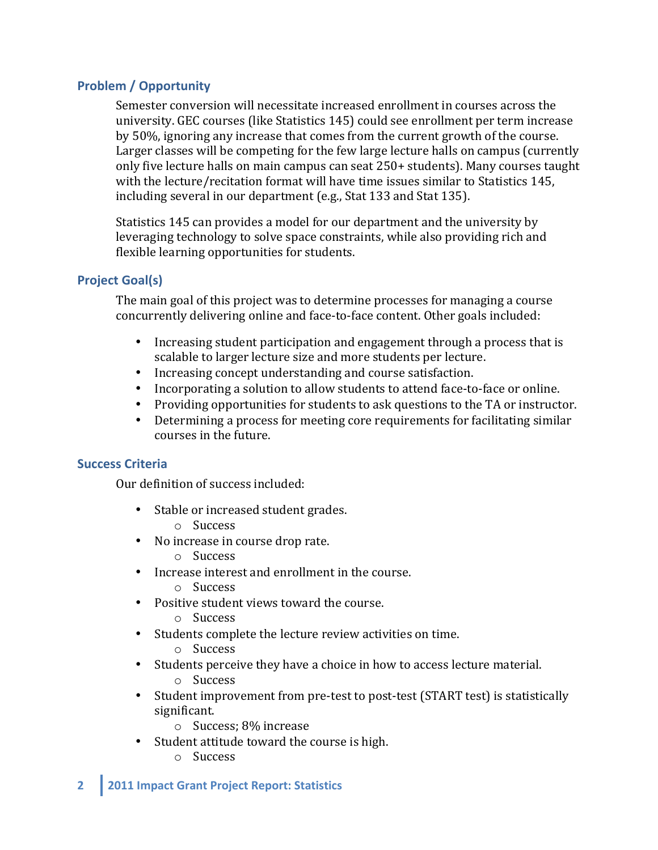## **Problem / Opportunity**

Semester conversion will necessitate increased enrollment in courses across the university. GEC courses (like Statistics 145) could see enrollment per term increase by 50%, ignoring any increase that comes from the current growth of the course. Larger classes will be competing for the few large lecture halls on campus (currently only five lecture halls on main campus can seat 250+ students). Many courses taught with the lecture/recitation format will have time issues similar to Statistics 145, including several in our department  $(e.g., Stat 133 and Stat 135)$ .

Statistics 145 can provides a model for our department and the university by leveraging technology to solve space constraints, while also providing rich and flexible learning opportunities for students.

## **Project Goal(s)**

The main goal of this project was to determine processes for managing a course concurrently delivering online and face-to-face content. Other goals included:

- Increasing student participation and engagement through a process that is scalable to larger lecture size and more students per lecture.
- Increasing concept understanding and course satisfaction.
- Incorporating a solution to allow students to attend face-to-face or online.
- Providing opportunities for students to ask questions to the TA or instructor.
- Determining a process for meeting core requirements for facilitating similar courses in the future.

## **Success Criteria**

Our definition of success included:

- Stable or increased student grades.
	- o Success
- No increase in course drop rate.
	- o Success
- Increase interest and enrollment in the course.
	- o Success
- Positive student views toward the course.
	- o Success
- Students complete the lecture review activities on time.
	- o Success
- Students perceive they have a choice in how to access lecture material.
	- o Success
- Student improvement from pre-test to post-test (START test) is statistically significant.
	- $\circ$  Success; 8% increase
- Student attitude toward the course is high.
	- o Success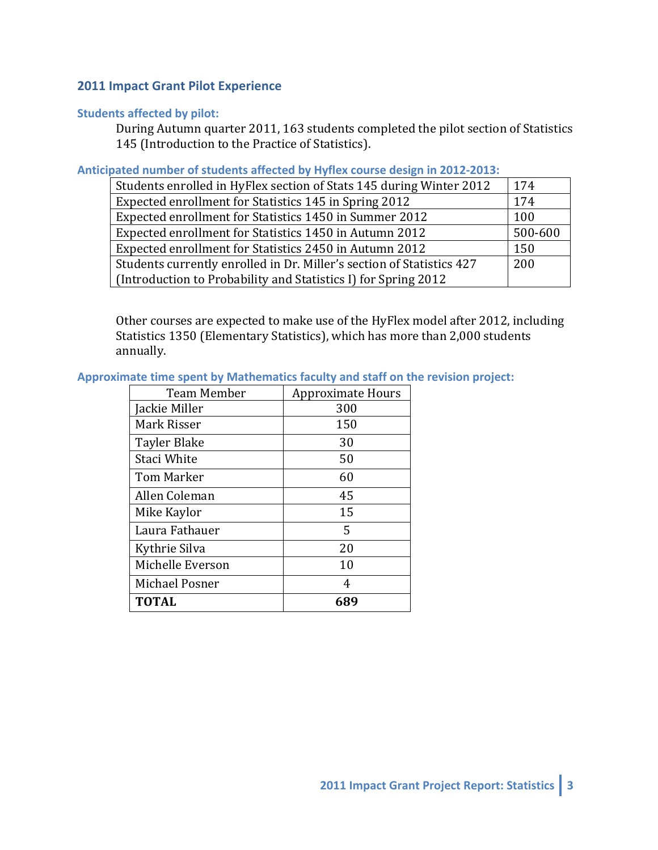### **2011 Impact Grant Pilot Experience**

### **Students affected by pilot:**

During Autumn quarter 2011, 163 students completed the pilot section of Statistics 145 (Introduction to the Practice of Statistics).

### Anticipated number of students affected by Hyflex course design in 2012-2013:

| Students enrolled in HyFlex section of Stats 145 during Winter 2012   | 174     |
|-----------------------------------------------------------------------|---------|
| Expected enrollment for Statistics 145 in Spring 2012                 | 174     |
| Expected enrollment for Statistics 1450 in Summer 2012                | 100     |
| Expected enrollment for Statistics 1450 in Autumn 2012                | 500-600 |
| Expected enrollment for Statistics 2450 in Autumn 2012                | 150     |
| Students currently enrolled in Dr. Miller's section of Statistics 427 |         |
| (Introduction to Probability and Statistics I) for Spring 2012        |         |

Other courses are expected to make use of the HyFlex model after 2012, including Statistics 1350 (Elementary Statistics), which has more than 2,000 students annually. 

## Approximate time spent by Mathematics faculty and staff on the revision project:

| <b>Team Member</b> | <b>Approximate Hours</b> |
|--------------------|--------------------------|
| Jackie Miller      | 300                      |
| Mark Risser        | 150                      |
| Tayler Blake       | 30                       |
| Staci White        | 50                       |
| <b>Tom Marker</b>  | 60                       |
| Allen Coleman      | 45                       |
| Mike Kaylor        | 15                       |
| Laura Fathauer     | 5                        |
| Kythrie Silva      | 20                       |
| Michelle Everson   | 10                       |
| Michael Posner     | 4                        |
| <b>TOTAL</b>       | 689                      |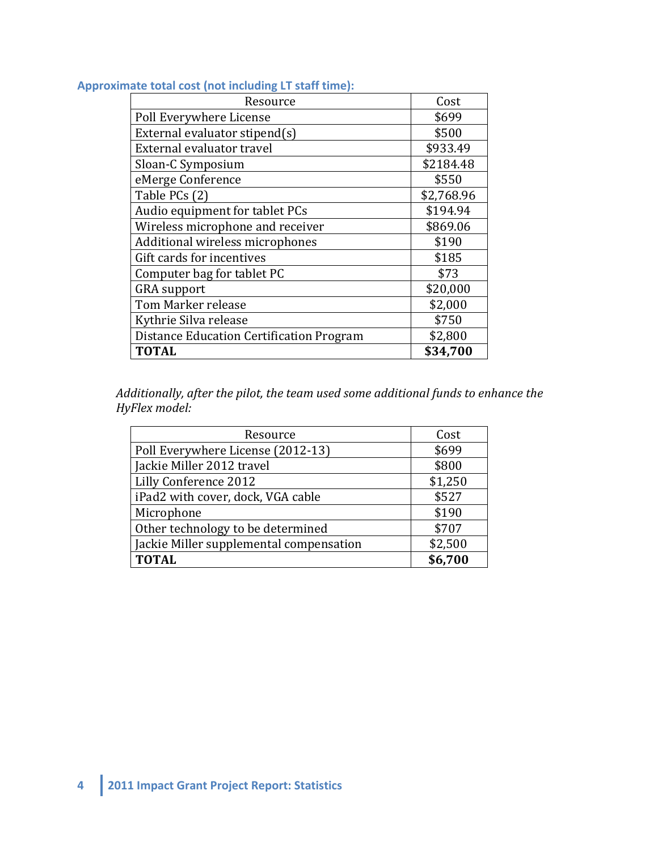## Approximate total cost (not including LT staff time):

| Resource                                 | Cost       |
|------------------------------------------|------------|
| Poll Everywhere License                  | \$699      |
| External evaluator stipend(s)            | \$500      |
| External evaluator travel                | \$933.49   |
| Sloan-C Symposium                        | \$2184.48  |
| eMerge Conference                        | \$550      |
| Table PCs (2)                            | \$2,768.96 |
| Audio equipment for tablet PCs           | \$194.94   |
| Wireless microphone and receiver         | \$869.06   |
| Additional wireless microphones          | \$190      |
| Gift cards for incentives                | \$185      |
| Computer bag for tablet PC               | \$73       |
| <b>GRA</b> support                       | \$20,000   |
| Tom Marker release                       | \$2,000    |
| Kythrie Silva release                    | \$750      |
| Distance Education Certification Program | \$2,800    |
| <b>TOTAL</b>                             | \$34,700   |

Additionally, after the pilot, the team used some additional funds to enhance the *HyFlex model:* 

| Resource                                | Cost    |
|-----------------------------------------|---------|
| Poll Everywhere License (2012-13)       | \$699   |
| Jackie Miller 2012 travel               | \$800   |
| Lilly Conference 2012                   | \$1,250 |
| iPad2 with cover, dock, VGA cable       | \$527   |
| Microphone                              | \$190   |
| Other technology to be determined       | \$707   |
| Jackie Miller supplemental compensation | \$2,500 |
| <b>TOTAL</b>                            | \$6,700 |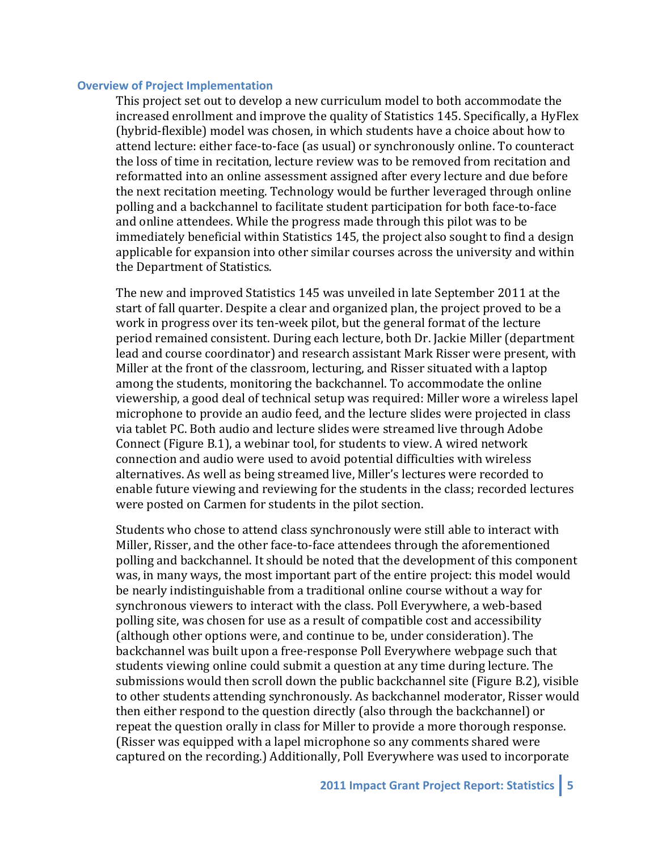#### **Overview of Project Implementation**

This project set out to develop a new curriculum model to both accommodate the increased enrollment and improve the quality of Statistics 145. Specifically, a HyFlex (hybrid-flexible) model was chosen, in which students have a choice about how to attend lecture: either face-to-face (as usual) or synchronously online. To counteract the loss of time in recitation, lecture review was to be removed from recitation and reformatted into an online assessment assigned after every lecture and due before the next recitation meeting. Technology would be further leveraged through online polling and a backchannel to facilitate student participation for both face-to-face and online attendees. While the progress made through this pilot was to be immediately beneficial within Statistics 145, the project also sought to find a design applicable for expansion into other similar courses across the university and within the Department of Statistics.

The new and improved Statistics 145 was unveiled in late September 2011 at the start of fall quarter. Despite a clear and organized plan, the project proved to be a work in progress over its ten-week pilot, but the general format of the lecture period remained consistent. During each lecture, both Dr. Jackie Miller (department lead and course coordinator) and research assistant Mark Risser were present, with Miller at the front of the classroom, lecturing, and Risser situated with a laptop among the students, monitoring the backchannel. To accommodate the online viewership, a good deal of technical setup was required: Miller wore a wireless lapel microphone to provide an audio feed, and the lecture slides were projected in class via tablet PC. Both audio and lecture slides were streamed live through Adobe Connect (Figure B.1), a webinar tool, for students to view. A wired network connection and audio were used to avoid potential difficulties with wireless alternatives. As well as being streamed live, Miller's lectures were recorded to enable future viewing and reviewing for the students in the class; recorded lectures were posted on Carmen for students in the pilot section.

Students who chose to attend class synchronously were still able to interact with Miller, Risser, and the other face-to-face attendees through the aforementioned polling and backchannel. It should be noted that the development of this component was, in many ways, the most important part of the entire project: this model would be nearly indistinguishable from a traditional online course without a way for synchronous viewers to interact with the class. Poll Everywhere, a web-based polling site, was chosen for use as a result of compatible cost and accessibility (although other options were, and continue to be, under consideration). The backchannel was built upon a free-response Poll Everywhere webpage such that students viewing online could submit a question at any time during lecture. The submissions would then scroll down the public backchannel site (Figure B.2), visible to other students attending synchronously. As backchannel moderator, Risser would then either respond to the question directly (also through the backchannel) or repeat the question orally in class for Miller to provide a more thorough response. (Risser was equipped with a lapel microphone so any comments shared were captured on the recording.) Additionally, Poll Everywhere was used to incorporate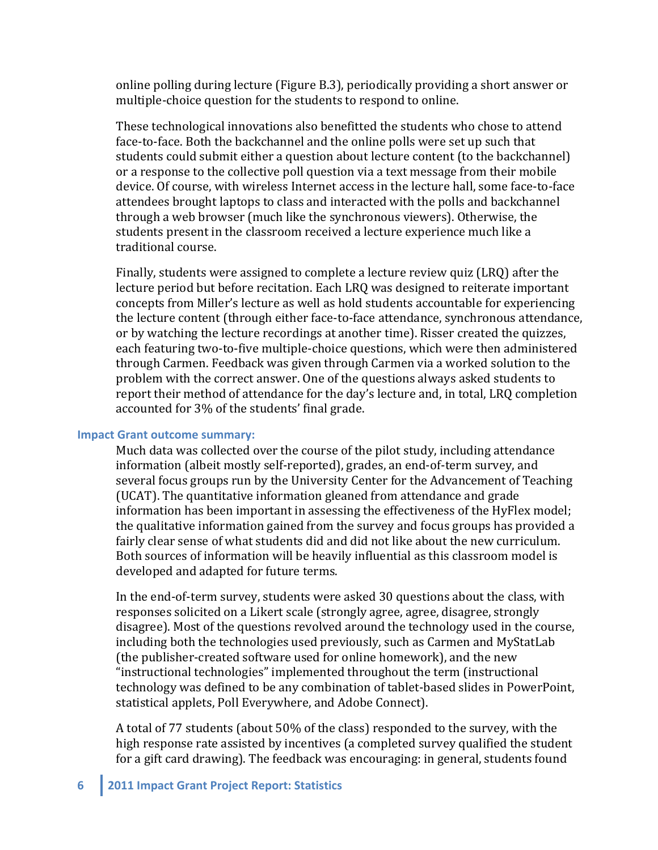online polling during lecture (Figure B.3), periodically providing a short answer or multiple-choice question for the students to respond to online.

These technological innovations also benefitted the students who chose to attend face-to-face. Both the backchannel and the online polls were set up such that students could submit either a question about lecture content (to the backchannel) or a response to the collective poll question via a text message from their mobile device. Of course, with wireless Internet access in the lecture hall, some face-to-face attendees brought laptops to class and interacted with the polls and backchannel through a web browser (much like the synchronous viewers). Otherwise, the students present in the classroom received a lecture experience much like a traditional course.

Finally, students were assigned to complete a lecture review quiz (LRQ) after the lecture period but before recitation. Each LRQ was designed to reiterate important concepts from Miller's lecture as well as hold students accountable for experiencing the lecture content (through either face-to-face attendance, synchronous attendance, or by watching the lecture recordings at another time). Risser created the quizzes, each featuring two-to-five multiple-choice questions, which were then administered through Carmen. Feedback was given through Carmen via a worked solution to the problem with the correct answer. One of the questions always asked students to report their method of attendance for the day's lecture and, in total, LRQ completion accounted for 3% of the students' final grade.

#### **Impact Grant outcome summary:**

Much data was collected over the course of the pilot study, including attendance information (albeit mostly self-reported), grades, an end-of-term survey, and several focus groups run by the University Center for the Advancement of Teaching (UCAT). The quantitative information gleaned from attendance and grade information has been important in assessing the effectiveness of the HyFlex model; the qualitative information gained from the survey and focus groups has provided a fairly clear sense of what students did and did not like about the new curriculum. Both sources of information will be heavily influential as this classroom model is developed and adapted for future terms.

In the end-of-term survey, students were asked 30 questions about the class, with responses solicited on a Likert scale (strongly agree, agree, disagree, strongly disagree). Most of the questions revolved around the technology used in the course, including both the technologies used previously, such as Carmen and MyStatLab (the publisher-created software used for online homework), and the new "instructional technologies" implemented throughout the term (instructional technology was defined to be any combination of tablet-based slides in PowerPoint, statistical applets, Poll Everywhere, and Adobe Connect).

A total of 77 students (about 50% of the class) responded to the survey, with the high response rate assisted by incentives (a completed survey qualified the student for a gift card drawing). The feedback was encouraging: in general, students found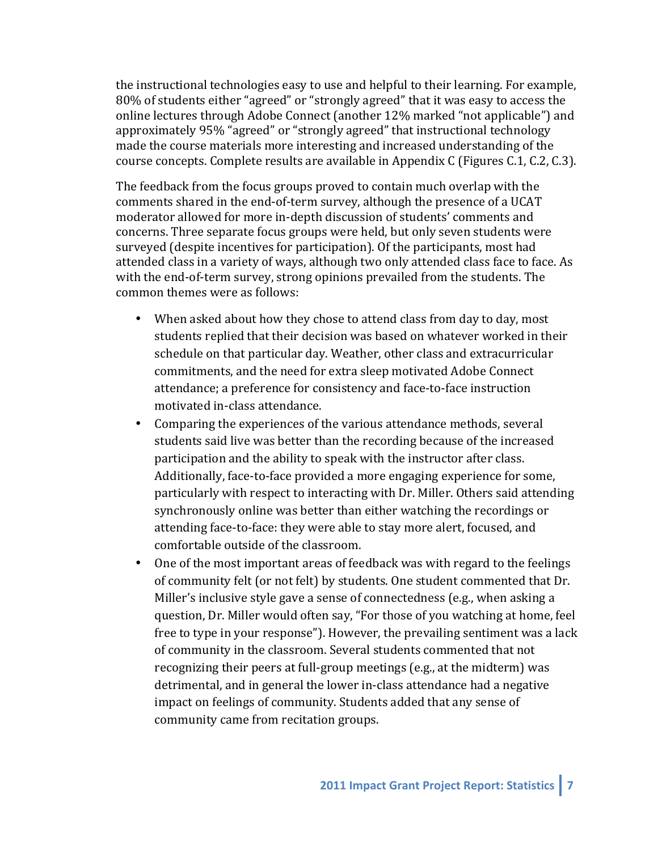the instructional technologies easy to use and helpful to their learning. For example, 80% of students either "agreed" or "strongly agreed" that it was easy to access the online lectures through Adobe Connect (another 12% marked "not applicable") and approximately 95% "agreed" or "strongly agreed" that instructional technology made the course materials more interesting and increased understanding of the course concepts. Complete results are available in Appendix C (Figures C.1, C.2, C.3).

The feedback from the focus groups proved to contain much overlap with the comments shared in the end-of-term survey, although the presence of a UCAT moderator allowed for more in-depth discussion of students' comments and concerns. Three separate focus groups were held, but only seven students were surveyed (despite incentives for participation). Of the participants, most had attended class in a variety of ways, although two only attended class face to face. As with the end-of-term survey, strong opinions prevailed from the students. The common themes were as follows:

- When asked about how they chose to attend class from day to day, most students replied that their decision was based on whatever worked in their schedule on that particular day. Weather, other class and extracurricular commitments, and the need for extra sleep motivated Adobe Connect attendance; a preference for consistency and face-to-face instruction motivated in-class attendance.
- Comparing the experiences of the various attendance methods, several students said live was better than the recording because of the increased participation and the ability to speak with the instructor after class. Additionally, face-to-face provided a more engaging experience for some, particularly with respect to interacting with Dr. Miller. Others said attending synchronously online was better than either watching the recordings or attending face-to-face: they were able to stay more alert, focused, and comfortable outside of the classroom.
- One of the most important areas of feedback was with regard to the feelings of community felt (or not felt) by students. One student commented that Dr. Miller's inclusive style gave a sense of connectedness (e.g., when asking a question, Dr. Miller would often say, "For those of you watching at home, feel free to type in your response"). However, the prevailing sentiment was a lack of community in the classroom. Several students commented that not recognizing their peers at full-group meetings (e.g., at the midterm) was detrimental, and in general the lower in-class attendance had a negative impact on feelings of community. Students added that any sense of community came from recitation groups.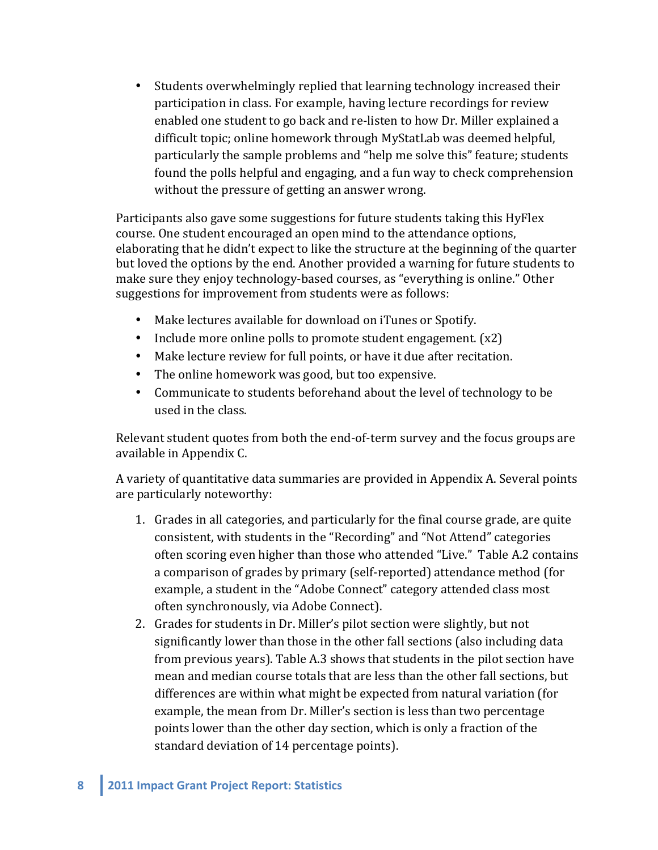• Students overwhelmingly replied that learning technology increased their participation in class. For example, having lecture recordings for review enabled one student to go back and re-listen to how Dr. Miller explained a difficult topic; online homework through MyStatLab was deemed helpful, particularly the sample problems and "help me solve this" feature; students found the polls helpful and engaging, and a fun way to check comprehension without the pressure of getting an answer wrong.

Participants also gave some suggestions for future students taking this HyFlex course. One student encouraged an open mind to the attendance options, elaborating that he didn't expect to like the structure at the beginning of the quarter but loved the options by the end. Another provided a warning for future students to make sure they enjoy technology-based courses, as "everything is online." Other suggestions for improvement from students were as follows:

- Make lectures available for download on iTunes or Spotify.
- Include more online polls to promote student engagement.  $(x2)$
- Make lecture review for full points, or have it due after recitation.
- The online homework was good, but too expensive.
- Communicate to students beforehand about the level of technology to be used in the class.

Relevant student quotes from both the end-of-term survey and the focus groups are available in Appendix C.

A variety of quantitative data summaries are provided in Appendix A. Several points are particularly noteworthy:

- 1. Grades in all categories, and particularly for the final course grade, are quite consistent, with students in the "Recording" and "Not Attend" categories often scoring even higher than those who attended "Live." Table A.2 contains a comparison of grades by primary (self-reported) attendance method (for example, a student in the "Adobe Connect" category attended class most often synchronously, via Adobe Connect).
- 2. Grades for students in Dr. Miller's pilot section were slightly, but not significantly lower than those in the other fall sections (also including data from previous years). Table A.3 shows that students in the pilot section have mean and median course totals that are less than the other fall sections, but differences are within what might be expected from natural variation (for example, the mean from Dr. Miller's section is less than two percentage points lower than the other day section, which is only a fraction of the standard deviation of 14 percentage points).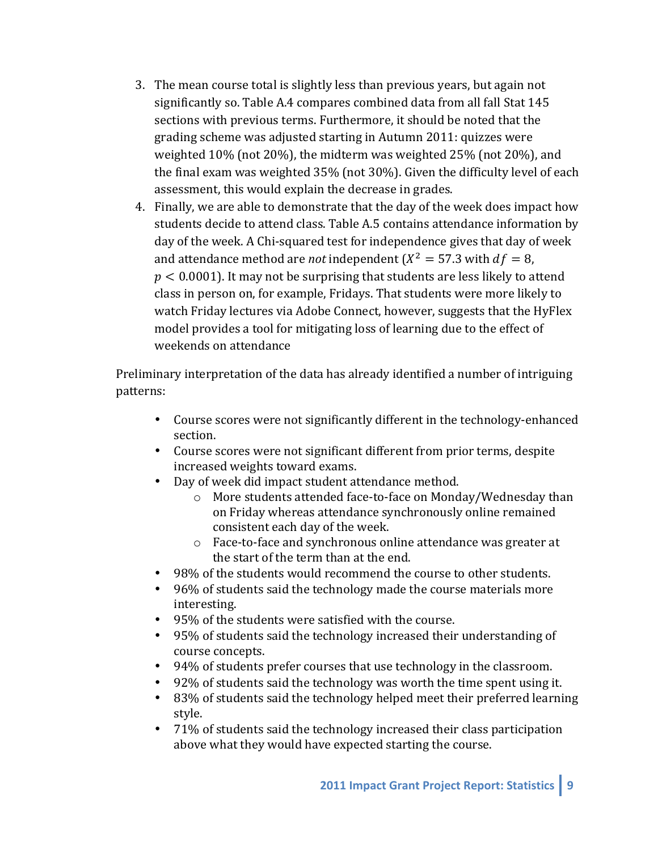- 3. The mean course total is slightly less than previous years, but again not significantly so. Table A.4 compares combined data from all fall Stat 145 sections with previous terms. Furthermore, it should be noted that the grading scheme was adjusted starting in Autumn 2011: quizzes were weighted  $10\%$  (not  $20\%$ ), the midterm was weighted  $25\%$  (not  $20\%$ ), and the final exam was weighted  $35\%$  (not  $30\%$ ). Given the difficulty level of each assessment, this would explain the decrease in grades.
- 4. Finally, we are able to demonstrate that the day of the week does impact how students decide to attend class. Table A.5 contains attendance information by day of the week. A Chi-squared test for independence gives that day of week and attendance method are *not* independent  $(X^2 = 57.3$  with  $df = 8$ ,  $p < 0.0001$ ). It may not be surprising that students are less likely to attend class in person on, for example, Fridays. That students were more likely to watch Friday lectures via Adobe Connect, however, suggests that the HyFlex model provides a tool for mitigating loss of learning due to the effect of weekends on attendance

Preliminary interpretation of the data has already identified a number of intriguing patterns:

- Course scores were not significantly different in the technology-enhanced section.
- Course scores were not significant different from prior terms, despite increased weights toward exams.
- Day of week did impact student attendance method.
	- $\circ$  More students attended face-to-face on Monday/Wednesday than on Friday whereas attendance synchronously online remained consistent each day of the week.
	- $\circ$  Face-to-face and synchronous online attendance was greater at the start of the term than at the end.
- 98% of the students would recommend the course to other students.
- 96% of students said the technology made the course materials more interesting.
- 95% of the students were satisfied with the course.
- 95% of students said the technology increased their understanding of course concepts.
- 94% of students prefer courses that use technology in the classroom.
- 92% of students said the technology was worth the time spent using it.
- 83% of students said the technology helped meet their preferred learning style.
- 71% of students said the technology increased their class participation above what they would have expected starting the course.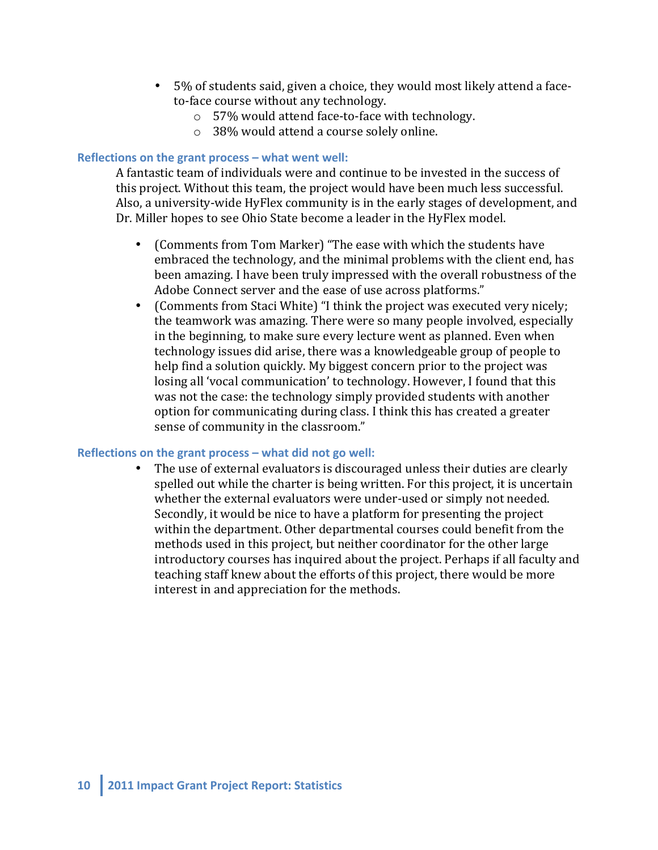- 5% of students said, given a choice, they would most likely attend a faceto-face course without any technology.
	- $\circ$  57% would attend face-to-face with technology.
	- $\circ$  38% would attend a course solely online.

#### **Reflections on the grant process – what went well:**

A fantastic team of individuals were and continue to be invested in the success of this project. Without this team, the project would have been much less successful. Also, a university-wide HyFlex community is in the early stages of development, and Dr. Miller hopes to see Ohio State become a leader in the HyFlex model.

- (Comments from Tom Marker) "The ease with which the students have embraced the technology, and the minimal problems with the client end, has been amazing. I have been truly impressed with the overall robustness of the Adobe Connect server and the ease of use across platforms."
- (Comments from Staci White) "I think the project was executed very nicely; the teamwork was amazing. There were so many people involved, especially in the beginning, to make sure every lecture went as planned. Even when technology issues did arise, there was a knowledgeable group of people to help find a solution quickly. My biggest concern prior to the project was losing all 'vocal communication' to technology. However, I found that this was not the case: the technology simply provided students with another option for communicating during class. I think this has created a greater sense of community in the classroom."

#### **Reflections on the grant process – what did not go well:**

• The use of external evaluators is discouraged unless their duties are clearly spelled out while the charter is being written. For this project, it is uncertain whether the external evaluators were under-used or simply not needed. Secondly, it would be nice to have a platform for presenting the project within the department. Other departmental courses could benefit from the methods used in this project, but neither coordinator for the other large introductory courses has inquired about the project. Perhaps if all faculty and teaching staff knew about the efforts of this project, there would be more interest in and appreciation for the methods.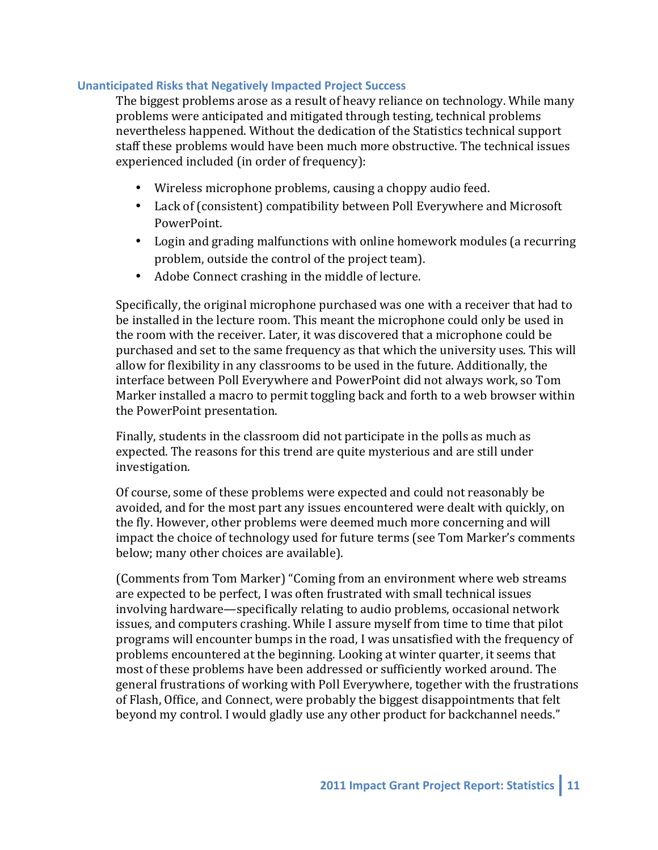### **Unanticipated Risks that Negatively Impacted Project Success**

The biggest problems arose as a result of heavy reliance on technology. While many problems were anticipated and mitigated through testing, technical problems nevertheless happened. Without the dedication of the Statistics technical support staff these problems would have been much more obstructive. The technical issues experienced included (in order of frequency):

- Wireless microphone problems, causing a choppy audio feed.
- Lack of (consistent) compatibility between Poll Everywhere and Microsoft PowerPoint.
- Login and grading malfunctions with online homework modules (a recurring problem, outside the control of the project team).
- Adobe Connect crashing in the middle of lecture.

Specifically, the original microphone purchased was one with a receiver that had to be installed in the lecture room. This meant the microphone could only be used in the room with the receiver. Later, it was discovered that a microphone could be purchased and set to the same frequency as that which the university uses. This will allow for flexibility in any classrooms to be used in the future. Additionally, the interface between Poll Everywhere and PowerPoint did not always work, so Tom Marker installed a macro to permit toggling back and forth to a web browser within the PowerPoint presentation.

Finally, students in the classroom did not participate in the polls as much as expected. The reasons for this trend are quite mysterious and are still under investigation.

Of course, some of these problems were expected and could not reasonably be avoided, and for the most part any issues encountered were dealt with quickly, on the fly. However, other problems were deemed much more concerning and will impact the choice of technology used for future terms (see Tom Marker's comments below; many other choices are available).

(Comments from Tom Marker) "Coming from an environment where web streams are expected to be perfect, I was often frustrated with small technical issues involving hardware—specifically relating to audio problems, occasional network issues, and computers crashing. While I assure myself from time to time that pilot programs will encounter bumps in the road, I was unsatisfied with the frequency of problems encountered at the beginning. Looking at winter quarter, it seems that most of these problems have been addressed or sufficiently worked around. The general frustrations of working with Poll Everywhere, together with the frustrations of Flash, Office, and Connect, were probably the biggest disappointments that felt beyond my control. I would gladly use any other product for backchannel needs."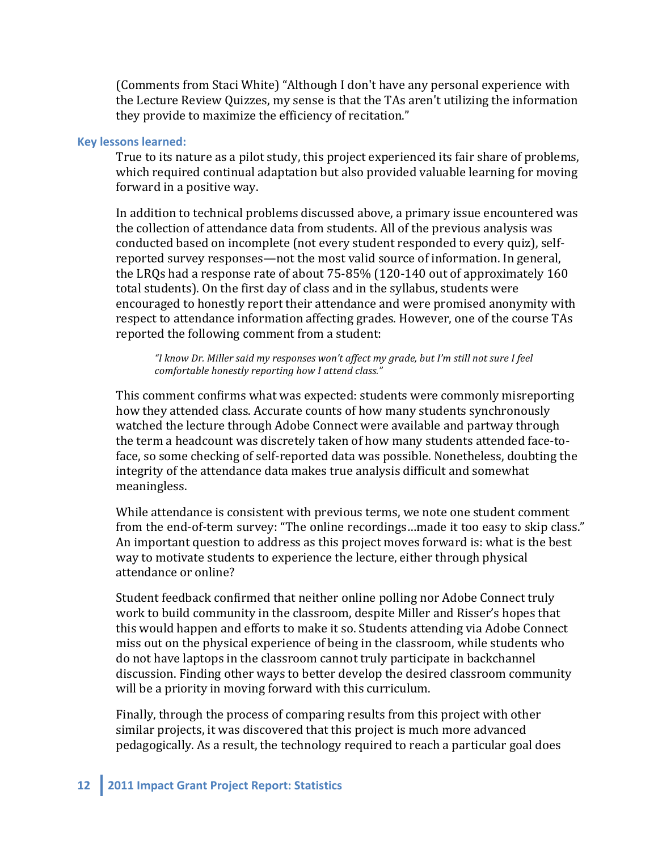(Comments from Staci White) "Although I don't have any personal experience with the Lecture Review Quizzes, my sense is that the TAs aren't utilizing the information they provide to maximize the efficiency of recitation."

#### **Key lessons learned:**

True to its nature as a pilot study, this project experienced its fair share of problems, which required continual adaptation but also provided valuable learning for moving forward in a positive way.

In addition to technical problems discussed above, a primary issue encountered was the collection of attendance data from students. All of the previous analysis was conducted based on incomplete (not every student responded to every quiz), selfreported survey responses—not the most valid source of information. In general, the LRQs had a response rate of about  $75-85\%$  (120-140 out of approximately 160 total students). On the first day of class and in the syllabus, students were encouraged to honestly report their attendance and were promised anonymity with respect to attendance information affecting grades. However, one of the course TAs reported the following comment from a student:

"I know Dr. Miller said my responses won't affect my grade, but I'm still not sure I feel *comfortable honestly reporting how I attend class."* 

This comment confirms what was expected: students were commonly misreporting how they attended class. Accurate counts of how many students synchronously watched the lecture through Adobe Connect were available and partway through the term a headcount was discretely taken of how many students attended face-toface, so some checking of self-reported data was possible. Nonetheless, doubting the integrity of the attendance data makes true analysis difficult and somewhat meaningless. 

While attendance is consistent with previous terms, we note one student comment from the end-of-term survey: "The online recordings...made it too easy to skip class." An important question to address as this project moves forward is: what is the best way to motivate students to experience the lecture, either through physical attendance or online?

Student feedback confirmed that neither online polling nor Adobe Connect truly work to build community in the classroom, despite Miller and Risser's hopes that this would happen and efforts to make it so. Students attending via Adobe Connect miss out on the physical experience of being in the classroom, while students who do not have laptops in the classroom cannot truly participate in backchannel discussion. Finding other ways to better develop the desired classroom community will be a priority in moving forward with this curriculum.

Finally, through the process of comparing results from this project with other similar projects, it was discovered that this project is much more advanced pedagogically. As a result, the technology required to reach a particular goal does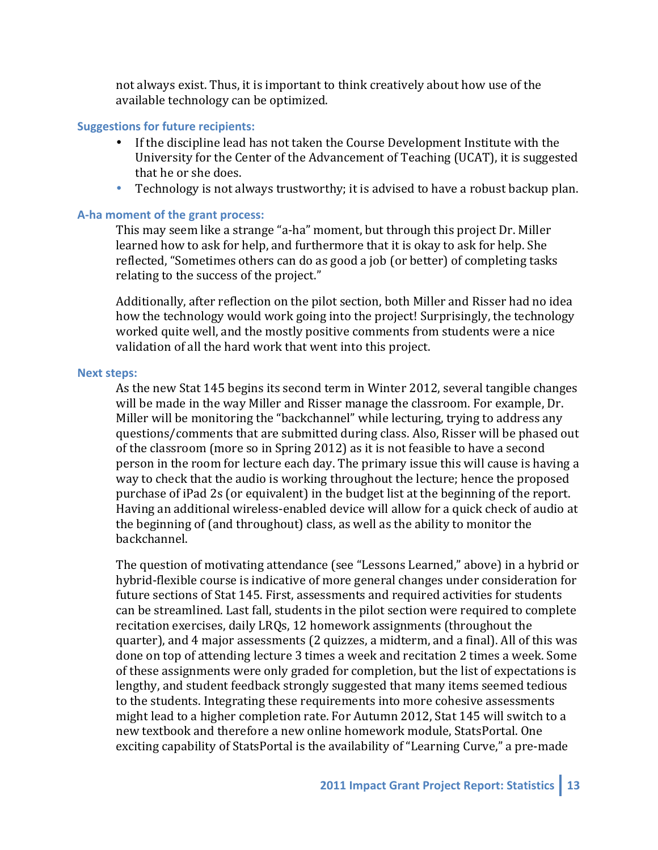not always exist. Thus, it is important to think creatively about how use of the available technology can be optimized.

#### **Suggestions for future recipients:**

- If the discipline lead has not taken the Course Development Institute with the University for the Center of the Advancement of Teaching (UCAT), it is suggested that he or she does.
- Technology is not always trustworthy; it is advised to have a robust backup plan.

#### **A-ha moment of the grant process:**

This may seem like a strange "a-ha" moment, but through this project Dr. Miller learned how to ask for help, and furthermore that it is okay to ask for help. She reflected, "Sometimes others can do as good a job (or better) of completing tasks relating to the success of the project."

Additionally, after reflection on the pilot section, both Miller and Risser had no idea how the technology would work going into the project! Surprisingly, the technology worked quite well, and the mostly positive comments from students were a nice validation of all the hard work that went into this project.

#### **Next steps:**

As the new Stat 145 begins its second term in Winter 2012, several tangible changes will be made in the way Miller and Risser manage the classroom. For example, Dr. Miller will be monitoring the "backchannel" while lecturing, trying to address any questions/comments that are submitted during class. Also, Risser will be phased out of the classroom (more so in Spring 2012) as it is not feasible to have a second person in the room for lecture each day. The primary issue this will cause is having a way to check that the audio is working throughout the lecture; hence the proposed purchase of iPad 2s (or equivalent) in the budget list at the beginning of the report. Having an additional wireless-enabled device will allow for a quick check of audio at the beginning of (and throughout) class, as well as the ability to monitor the backchannel.

The question of motivating attendance (see "Lessons Learned," above) in a hybrid or hybrid-flexible course is indicative of more general changes under consideration for future sections of Stat 145. First, assessments and required activities for students can be streamlined. Last fall, students in the pilot section were required to complete recitation exercises, daily LRQs, 12 homework assignments (throughout the quarter), and 4 major assessments (2 quizzes, a midterm, and a final). All of this was done on top of attending lecture 3 times a week and recitation 2 times a week. Some of these assignments were only graded for completion, but the list of expectations is lengthy, and student feedback strongly suggested that many items seemed tedious to the students. Integrating these requirements into more cohesive assessments might lead to a higher completion rate. For Autumn 2012, Stat 145 will switch to a new textbook and therefore a new online homework module, StatsPortal. One exciting capability of StatsPortal is the availability of "Learning Curve," a pre-made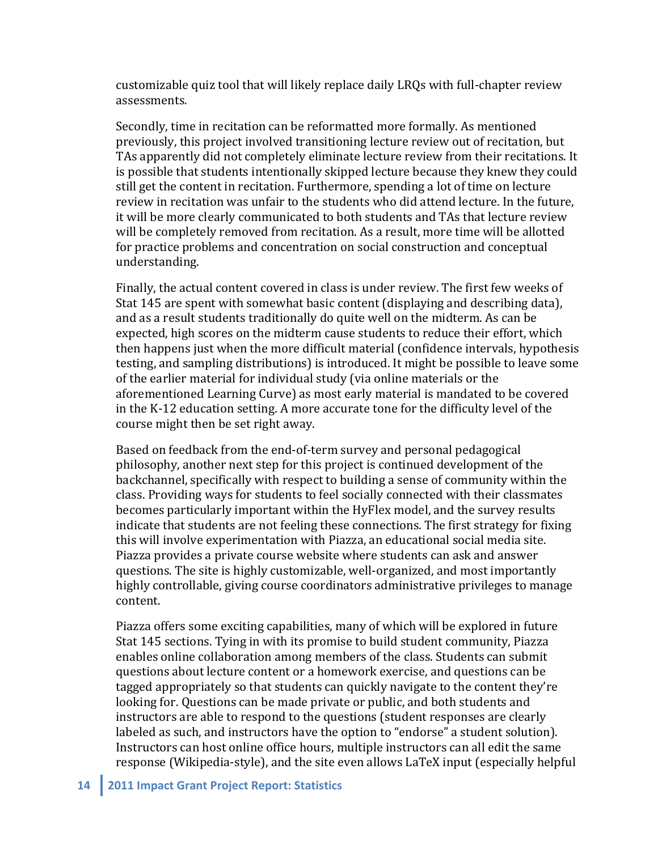customizable quiz tool that will likely replace daily LRQs with full-chapter review assessments.

Secondly, time in recitation can be reformatted more formally. As mentioned previously, this project involved transitioning lecture review out of recitation, but TAs apparently did not completely eliminate lecture review from their recitations. It is possible that students intentionally skipped lecture because they knew they could still get the content in recitation. Furthermore, spending a lot of time on lecture review in recitation was unfair to the students who did attend lecture. In the future, it will be more clearly communicated to both students and TAs that lecture review will be completely removed from recitation. As a result, more time will be allotted for practice problems and concentration on social construction and conceptual understanding.

Finally, the actual content covered in class is under review. The first few weeks of Stat 145 are spent with somewhat basic content (displaying and describing data), and as a result students traditionally do quite well on the midterm. As can be expected, high scores on the midterm cause students to reduce their effort, which then happens just when the more difficult material (confidence intervals, hypothesis testing, and sampling distributions) is introduced. It might be possible to leave some of the earlier material for individual study (via online materials or the aforementioned Learning Curve) as most early material is mandated to be covered in the K-12 education setting. A more accurate tone for the difficulty level of the course might then be set right away.

Based on feedback from the end-of-term survey and personal pedagogical philosophy, another next step for this project is continued development of the backchannel, specifically with respect to building a sense of community within the class. Providing ways for students to feel socially connected with their classmates becomes particularly important within the HyFlex model, and the survey results indicate that students are not feeling these connections. The first strategy for fixing this will involve experimentation with Piazza, an educational social media site. Piazza provides a private course website where students can ask and answer questions. The site is highly customizable, well-organized, and most importantly highly controllable, giving course coordinators administrative privileges to manage content. 

Piazza offers some exciting capabilities, many of which will be explored in future Stat 145 sections. Tying in with its promise to build student community, Piazza enables online collaboration among members of the class. Students can submit questions about lecture content or a homework exercise, and questions can be tagged appropriately so that students can quickly navigate to the content they're looking for. Questions can be made private or public, and both students and instructors are able to respond to the questions (student responses are clearly labeled as such, and instructors have the option to "endorse" a student solution). Instructors can host online office hours, multiple instructors can all edit the same response (Wikipedia-style), and the site even allows LaTeX input (especially helpful

#### **14 2011 Impact Grant Project Report: Statistics**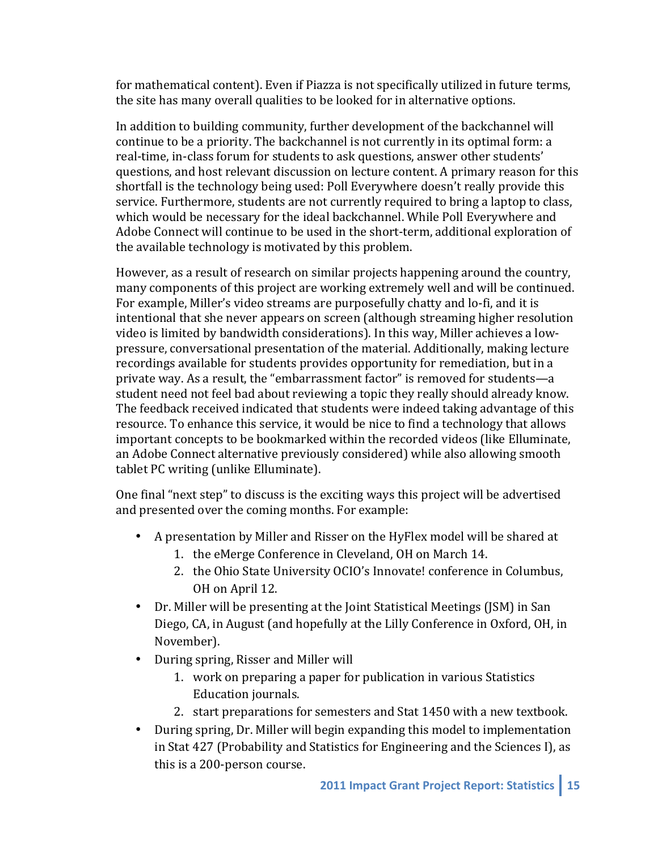for mathematical content). Even if Piazza is not specifically utilized in future terms, the site has many overall qualities to be looked for in alternative options.

In addition to building community, further development of the backchannel will continue to be a priority. The backchannel is not currently in its optimal form: a real-time, in-class forum for students to ask questions, answer other students' questions, and host relevant discussion on lecture content. A primary reason for this shortfall is the technology being used: Poll Everywhere doesn't really provide this service. Furthermore, students are not currently required to bring a laptop to class, which would be necessary for the ideal backchannel. While Poll Everywhere and Adobe Connect will continue to be used in the short-term, additional exploration of the available technology is motivated by this problem.

However, as a result of research on similar projects happening around the country, many components of this project are working extremely well and will be continued. For example, Miller's video streams are purposefully chatty and lo-fi, and it is intentional that she never appears on screen (although streaming higher resolution video is limited by bandwidth considerations). In this way, Miller achieves a lowpressure, conversational presentation of the material. Additionally, making lecture recordings available for students provides opportunity for remediation, but in a private way. As a result, the "embarrassment factor" is removed for students—a student need not feel bad about reviewing a topic they really should already know. The feedback received indicated that students were indeed taking advantage of this resource. To enhance this service, it would be nice to find a technology that allows important concepts to be bookmarked within the recorded videos (like Elluminate, an Adobe Connect alternative previously considered) while also allowing smooth tablet PC writing (unlike Elluminate).

One final "next step" to discuss is the exciting ways this project will be advertised and presented over the coming months. For example:

- A presentation by Miller and Risser on the HyFlex model will be shared at
	- 1. the eMerge Conference in Cleveland, OH on March 14.
	- 2. the Ohio State University OCIO's Innovate! conference in Columbus, OH on April 12.
- Dr. Miller will be presenting at the Joint Statistical Meetings (JSM) in San Diego, CA, in August (and hopefully at the Lilly Conference in Oxford, OH, in November).
- During spring, Risser and Miller will
	- 1. work on preparing a paper for publication in various Statistics Education journals.
	- 2. start preparations for semesters and Stat 1450 with a new textbook.
- During spring, Dr. Miller will begin expanding this model to implementation in Stat  $427$  (Probability and Statistics for Engineering and the Sciences I), as this is a 200-person course.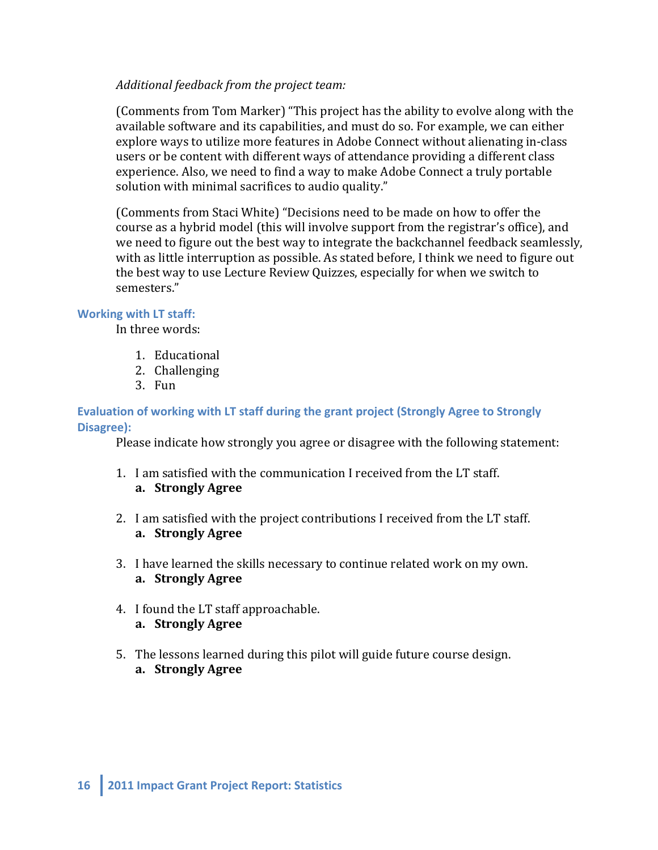## Additional feedback from the project team:

(Comments from Tom Marker) "This project has the ability to evolve along with the available software and its capabilities, and must do so. For example, we can either explore ways to utilize more features in Adobe Connect without alienating in-class users or be content with different ways of attendance providing a different class experience. Also, we need to find a way to make Adobe Connect a truly portable solution with minimal sacrifices to audio quality."

(Comments from Staci White) "Decisions need to be made on how to offer the course as a hybrid model (this will involve support from the registrar's office), and we need to figure out the best way to integrate the backchannel feedback seamlessly, with as little interruption as possible. As stated before, I think we need to figure out the best way to use Lecture Review Quizzes, especially for when we switch to semesters."

## **Working with LT staff:**

In three words:

- 1. Educational
- 2. Challenging
- 3. Fun

### **Evaluation of working with LT staff during the grant project (Strongly Agree to Strongly Disagree):**

Please indicate how strongly you agree or disagree with the following statement:

- 1. I am satisfied with the communication I received from the LT staff. **a. Strongly Agree**
- 2. I am satisfied with the project contributions I received from the LT staff. **a. Strongly Agree**
- 3. I have learned the skills necessary to continue related work on my own. **a. Strongly Agree**
- 4. I found the LT staff approachable. **a. Strongly Agree**
- 5. The lessons learned during this pilot will guide future course design. **a. Strongly Agree**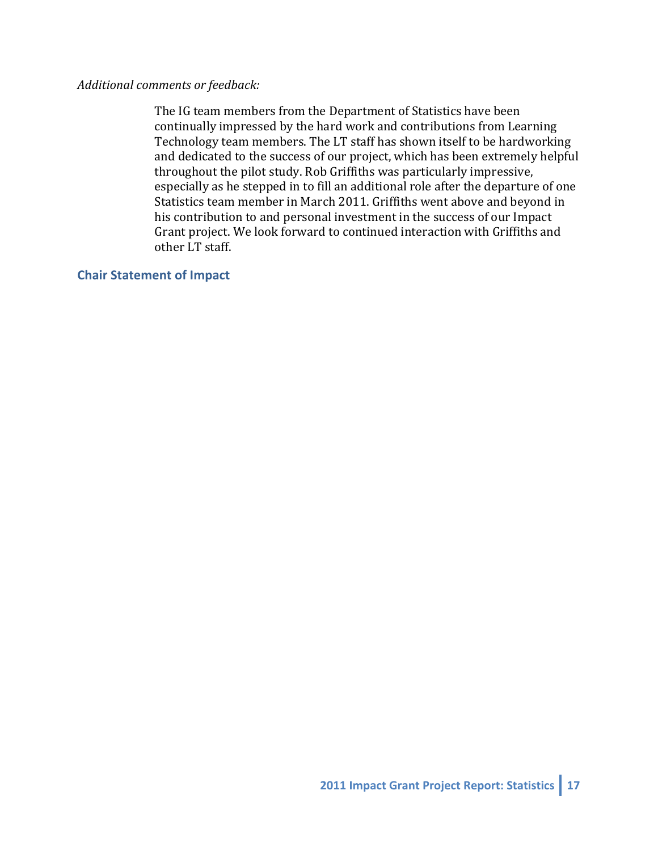### Additional comments or feedback:

The IG team members from the Department of Statistics have been continually impressed by the hard work and contributions from Learning Technology team members. The LT staff has shown itself to be hardworking and dedicated to the success of our project, which has been extremely helpful throughout the pilot study. Rob Griffiths was particularly impressive, especially as he stepped in to fill an additional role after the departure of one Statistics team member in March 2011. Griffiths went above and beyond in his contribution to and personal investment in the success of our Impact Grant project. We look forward to continued interaction with Griffiths and other LT staff.

### **Chair Statement of Impact**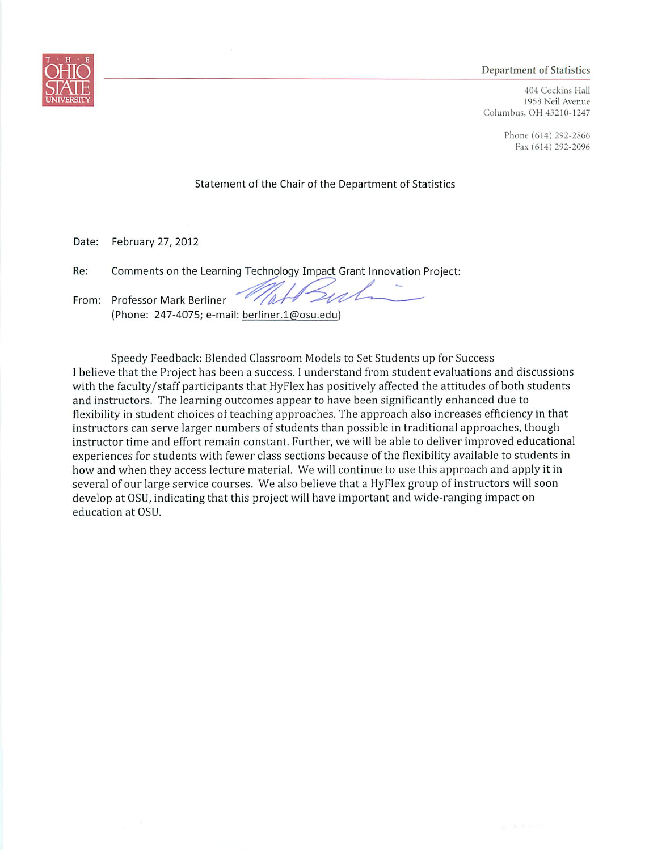#### **Department of Statistics**

404 Cockins Hall 1958 Neil Avenue Columbus, OH 43210-1247

> Phone (614) 292-2866 Fax (614) 292-2096

Statement of the Chair of the Department of Statistics

Date: February 27, 2012

Comments on the Learning Technology Impact Grant Innovation Project: Re:

From: Professor Mark Berliner (Phone: 247-4075; e-mail: berliner.1@osu.edu)

Speedy Feedback: Blended Classroom Models to Set Students up for Success I believe that the Project has been a success. I understand from student evaluations and discussions with the faculty/staff participants that HyFlex has positively affected the attitudes of both students and instructors. The learning outcomes appear to have been significantly enhanced due to flexibility in student choices of teaching approaches. The approach also increases efficiency in that instructors can serve larger numbers of students than possible in traditional approaches, though instructor time and effort remain constant. Further, we will be able to deliver improved educational experiences for students with fewer class sections because of the flexibility available to students in how and when they access lecture material. We will continue to use this approach and apply it in several of our large service courses. We also believe that a HyFlex group of instructors will soon develop at OSU, indicating that this project will have important and wide-ranging impact on education at OSU.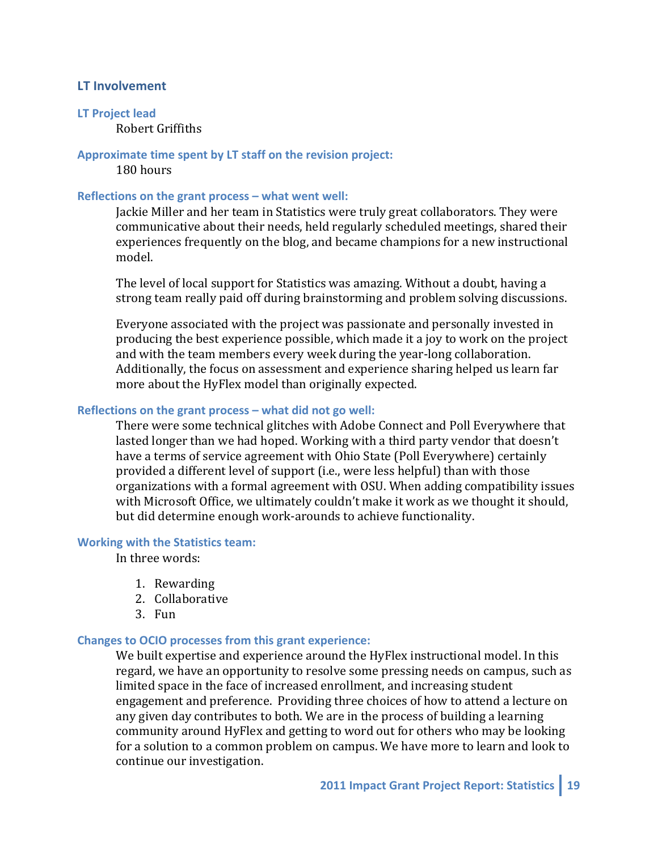### **LT** Involvement

#### **LT** Project lead Robert Griffiths

#### Approximate time spent by LT staff on the revision project:

180 hours

#### **Reflections on the grant process – what went well:**

Jackie Miller and her team in Statistics were truly great collaborators. They were communicative about their needs, held regularly scheduled meetings, shared their experiences frequently on the blog, and became champions for a new instructional model.

The level of local support for Statistics was amazing. Without a doubt, having a strong team really paid off during brainstorming and problem solving discussions.

Everyone associated with the project was passionate and personally invested in producing the best experience possible, which made it a joy to work on the project and with the team members every week during the year-long collaboration. Additionally, the focus on assessment and experience sharing helped us learn far more about the HyFlex model than originally expected.

#### **Reflections on the grant process – what did not go well:**

There were some technical glitches with Adobe Connect and Poll Everywhere that lasted longer than we had hoped. Working with a third party vendor that doesn't have a terms of service agreement with Ohio State (Poll Everywhere) certainly provided a different level of support (i.e., were less helpful) than with those organizations with a formal agreement with OSU. When adding compatibility issues with Microsoft Office, we ultimately couldn't make it work as we thought it should, but did determine enough work-arounds to achieve functionality.

### **Working with the Statistics team:**

In three words:

- 1. Rewarding
- 2. Collaborative
- 3. Fun

#### **Changes to OCIO processes from this grant experience:**

We built expertise and experience around the HyFlex instructional model. In this regard, we have an opportunity to resolve some pressing needs on campus, such as limited space in the face of increased enrollment, and increasing student engagement and preference. Providing three choices of how to attend a lecture on any given day contributes to both. We are in the process of building a learning community around HyFlex and getting to word out for others who may be looking for a solution to a common problem on campus. We have more to learn and look to continue our investigation.